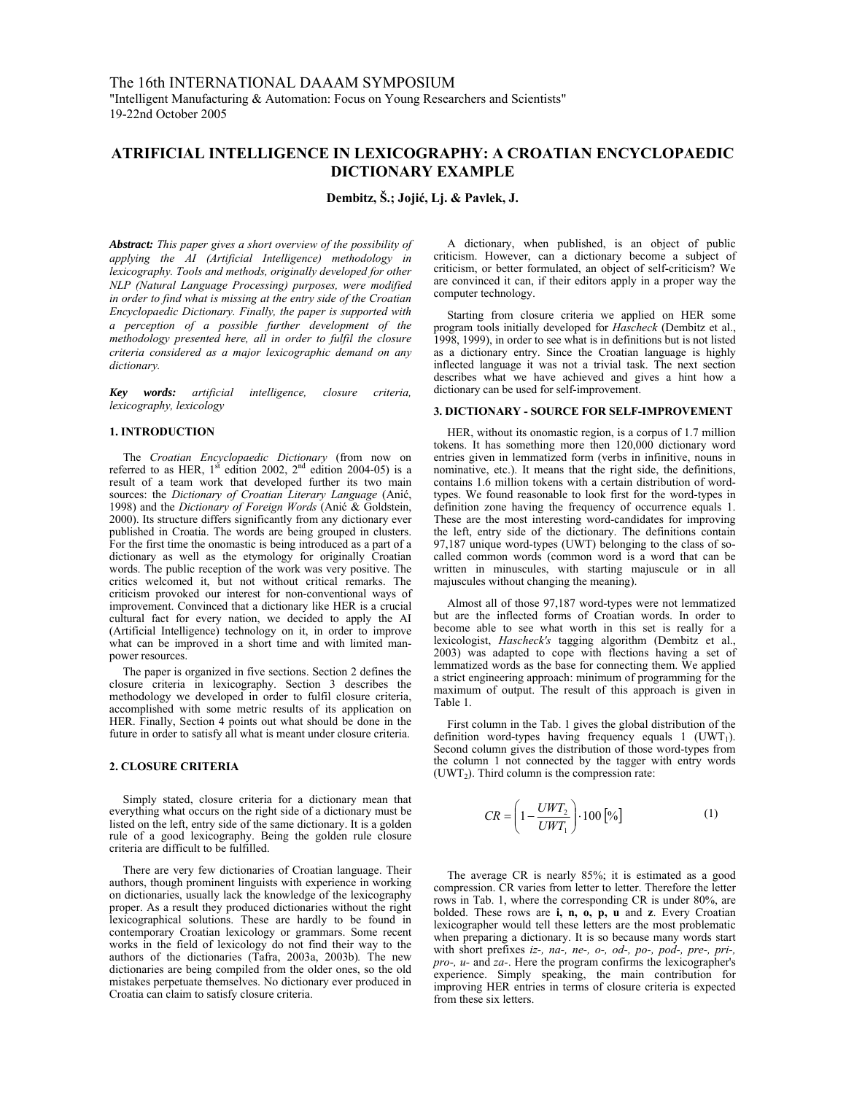# **ATRIFICIAL INTELLIGENCE IN LEXICOGRAPHY: A CROATIAN ENCYCLOPAEDIC DICTIONARY EXAMPLE**

**Dembitz, Š.; Jojić, Lj. & Pavlek, J.** 

*Abstract: This paper gives a short overview of the possibility of applying the AI (Artificial Intelligence) methodology in lexicography. Tools and methods, originally developed for other NLP (Natural Language Processing) purposes, were modified in order to find what is missing at the entry side of the Croatian Encyclopaedic Dictionary. Finally, the paper is supported with a perception of a possible further development of the methodology presented here, all in order to fulfil the closure criteria considered as a major lexicographic demand on any dictionary.* 

*Key words: artificial intelligence, closure criteria, lexicography, lexicology* 

### **1. INTRODUCTION**

The *Croatian Encyclopaedic Dictionary* (from now on referred to as HER,  $1<sup>st</sup>$  edition 2002,  $2<sup>nd</sup>$  edition 2004-05) is a result of a team work that developed further its two main sources: the *Dictionary of Croatian Literary Language* (Anić, 1998) and the *Dictionary of Foreign Words* (Anić & Goldstein, 2000). Its structure differs significantly from any dictionary ever published in Croatia. The words are being grouped in clusters. For the first time the onomastic is being introduced as a part of a dictionary as well as the etymology for originally Croatian words. The public reception of the work was very positive. The critics welcomed it, but not without critical remarks. The criticism provoked our interest for non-conventional ways of improvement. Convinced that a dictionary like HER is a crucial cultural fact for every nation, we decided to apply the AI (Artificial Intelligence) technology on it, in order to improve what can be improved in a short time and with limited manpower resources.

The paper is organized in five sections. Section 2 defines the closure criteria in lexicography. Section 3 describes the methodology we developed in order to fulfil closure criteria, accomplished with some metric results of its application on HER. Finally, Section 4 points out what should be done in the future in order to satisfy all what is meant under closure criteria.

#### **2. CLOSURE CRITERIA**

Simply stated, closure criteria for a dictionary mean that everything what occurs on the right side of a dictionary must be listed on the left, entry side of the same dictionary. It is a golden rule of a good lexicography. Being the golden rule closure criteria are difficult to be fulfilled.

There are very few dictionaries of Croatian language. Their authors, though prominent linguists with experience in working on dictionaries, usually lack the knowledge of the lexicography proper. As a result they produced dictionaries without the right lexicographical solutions. These are hardly to be found in contemporary Croatian lexicology or grammars. Some recent works in the field of lexicology do not find their way to the authors of the dictionaries (Tafra, 2003a, 2003b)*.* The new dictionaries are being compiled from the older ones, so the old mistakes perpetuate themselves. No dictionary ever produced in Croatia can claim to satisfy closure criteria.

A dictionary, when published, is an object of public criticism. However, can a dictionary become a subject of criticism, or better formulated, an object of self-criticism? We are convinced it can, if their editors apply in a proper way the computer technology.

Starting from closure criteria we applied on HER some program tools initially developed for *Hascheck* (Dembitz et al., 1998, 1999), in order to see what is in definitions but is not listed as a dictionary entry. Since the Croatian language is highly inflected language it was not a trivial task. The next section describes what we have achieved and gives a hint how a dictionary can be used for self-improvement.

### **3. DICTIONARY - SOURCE FOR SELF-IMPROVEMENT**

HER, without its onomastic region, is a corpus of 1.7 million tokens. It has something more then 120,000 dictionary word entries given in lemmatized form (verbs in infinitive, nouns in nominative, etc.). It means that the right side, the definitions, contains 1.6 million tokens with a certain distribution of wordtypes. We found reasonable to look first for the word-types in definition zone having the frequency of occurrence equals 1. These are the most interesting word-candidates for improving the left, entry side of the dictionary. The definitions contain 97,187 unique word-types (UWT) belonging to the class of socalled common words (common word is a word that can be written in minuscules, with starting majuscule or in all majuscules without changing the meaning).

Almost all of those 97,187 word-types were not lemmatized but are the inflected forms of Croatian words. In order to become able to see what worth in this set is really for a lexicologist, *Hascheck's* tagging algorithm (Dembitz et al., 2003) was adapted to cope with flections having a set of lemmatized words as the base for connecting them. We applied a strict engineering approach: minimum of programming for the maximum of output. The result of this approach is given in Table 1.

First column in the Tab. 1 gives the global distribution of the definition word-types having frequency equals  $1$  (UWT<sub>1</sub>). Second column gives the distribution of those word-types from the column 1 not connected by the tagger with entry words  $(UWT<sub>2</sub>)$ . Third column is the compression rate:

$$
CR = \left(1 - \frac{UWT_2}{UWT_1}\right) \cdot 100 \, [\%]
$$
 (1)

The average CR is nearly 85%; it is estimated as a good compression. CR varies from letter to letter. Therefore the letter rows in Tab. 1, where the corresponding CR is under 80%, are bolded. These rows are **i, n, o, p, u** and **z**. Every Croatian lexicographer would tell these letters are the most problematic when preparing a dictionary. It is so because many words start with short prefixes *iz-, na-, ne-, o-, od-, po-, pod-, pre-, pri-, pro-, u-* and *za-*. Here the program confirms the lexicographer's experience. Simply speaking, the main contribution for improving HER entries in terms of closure criteria is expected from these six letters.